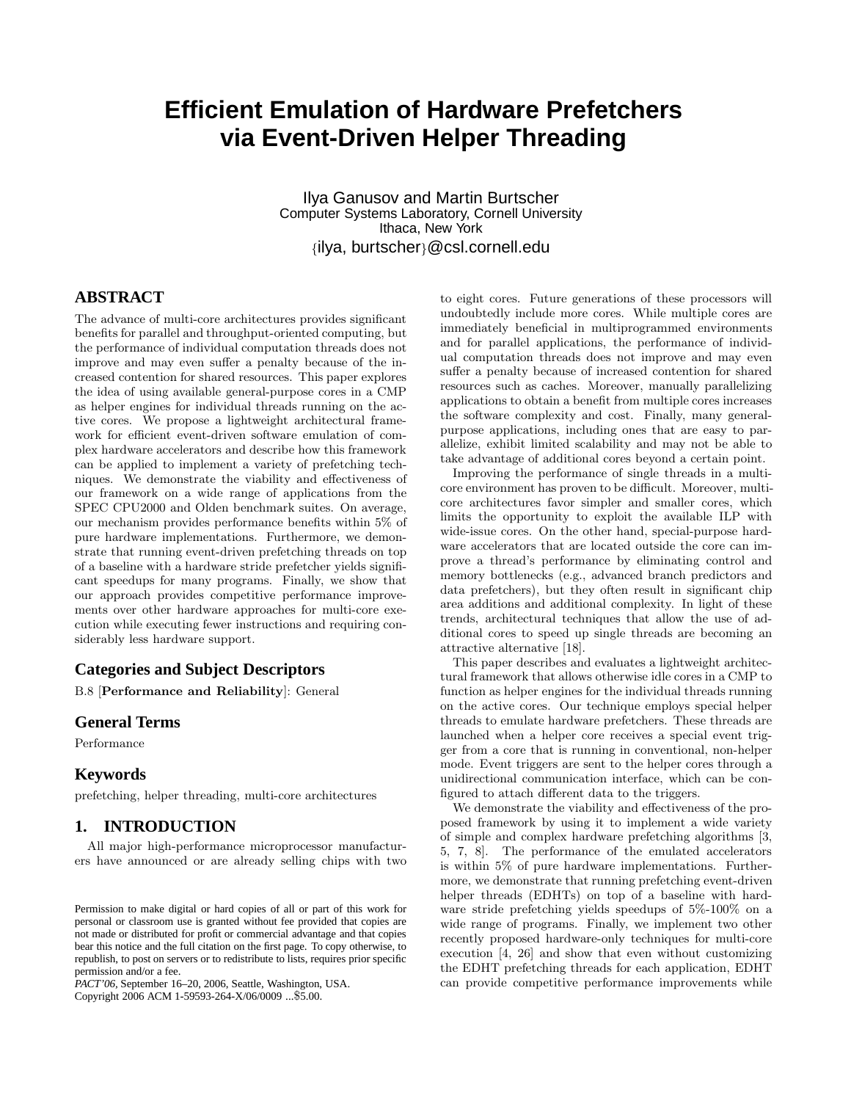# **Efficient Emulation of Hardware Prefetchers via Event-Driven Helper Threading**

Ilya Ganusov and Martin Burtscher Computer Systems Laboratory, Cornell University Ithaca, New York {ilya, burtscher}@csl.cornell.edu

# **ABSTRACT**

The advance of multi-core architectures provides significant benefits for parallel and throughput-oriented computing, but the performance of individual computation threads does not improve and may even suffer a penalty because of the increased contention for shared resources. This paper explores the idea of using available general-purpose cores in a CMP as helper engines for individual threads running on the active cores. We propose a lightweight architectural framework for efficient event-driven software emulation of complex hardware accelerators and describe how this framework can be applied to implement a variety of prefetching techniques. We demonstrate the viability and effectiveness of our framework on a wide range of applications from the SPEC CPU2000 and Olden benchmark suites. On average, our mechanism provides performance benefits within 5% of pure hardware implementations. Furthermore, we demonstrate that running event-driven prefetching threads on top of a baseline with a hardware stride prefetcher yields significant speedups for many programs. Finally, we show that our approach provides competitive performance improvements over other hardware approaches for multi-core execution while executing fewer instructions and requiring considerably less hardware support.

## **Categories and Subject Descriptors**

B.8 [Performance and Reliability]: General

#### **General Terms**

Performance

#### **Keywords**

prefetching, helper threading, multi-core architectures

# **1. INTRODUCTION**

All major high-performance microprocessor manufacturers have announced or are already selling chips with two

*PACT'06,* September 16–20, 2006, Seattle, Washington, USA. Copyright 2006 ACM 1-59593-264-X/06/0009 ...\$5.00.

to eight cores. Future generations of these processors will undoubtedly include more cores. While multiple cores are immediately beneficial in multiprogrammed environments and for parallel applications, the performance of individual computation threads does not improve and may even suffer a penalty because of increased contention for shared resources such as caches. Moreover, manually parallelizing applications to obtain a benefit from multiple cores increases the software complexity and cost. Finally, many generalpurpose applications, including ones that are easy to parallelize, exhibit limited scalability and may not be able to take advantage of additional cores beyond a certain point.

Improving the performance of single threads in a multicore environment has proven to be difficult. Moreover, multicore architectures favor simpler and smaller cores, which limits the opportunity to exploit the available ILP with wide-issue cores. On the other hand, special-purpose hardware accelerators that are located outside the core can improve a thread's performance by eliminating control and memory bottlenecks (e.g., advanced branch predictors and data prefetchers), but they often result in significant chip area additions and additional complexity. In light of these trends, architectural techniques that allow the use of additional cores to speed up single threads are becoming an attractive alternative [18].

This paper describes and evaluates a lightweight architectural framework that allows otherwise idle cores in a CMP to function as helper engines for the individual threads running on the active cores. Our technique employs special helper threads to emulate hardware prefetchers. These threads are launched when a helper core receives a special event trigger from a core that is running in conventional, non-helper mode. Event triggers are sent to the helper cores through a unidirectional communication interface, which can be configured to attach different data to the triggers.

We demonstrate the viability and effectiveness of the proposed framework by using it to implement a wide variety of simple and complex hardware prefetching algorithms [3, 5, 7, 8]. The performance of the emulated accelerators is within 5% of pure hardware implementations. Furthermore, we demonstrate that running prefetching event-driven helper threads (EDHTs) on top of a baseline with hardware stride prefetching yields speedups of 5%-100% on a wide range of programs. Finally, we implement two other recently proposed hardware-only techniques for multi-core execution [4, 26] and show that even without customizing the EDHT prefetching threads for each application, EDHT can provide competitive performance improvements while

Permission to make digital or hard copies of all or part of this work for personal or classroom use is granted without fee provided that copies are not made or distributed for profit or commercial advantage and that copies bear this notice and the full citation on the first page. To copy otherwise, to republish, to post on servers or to redistribute to lists, requires prior specific permission and/or a fee.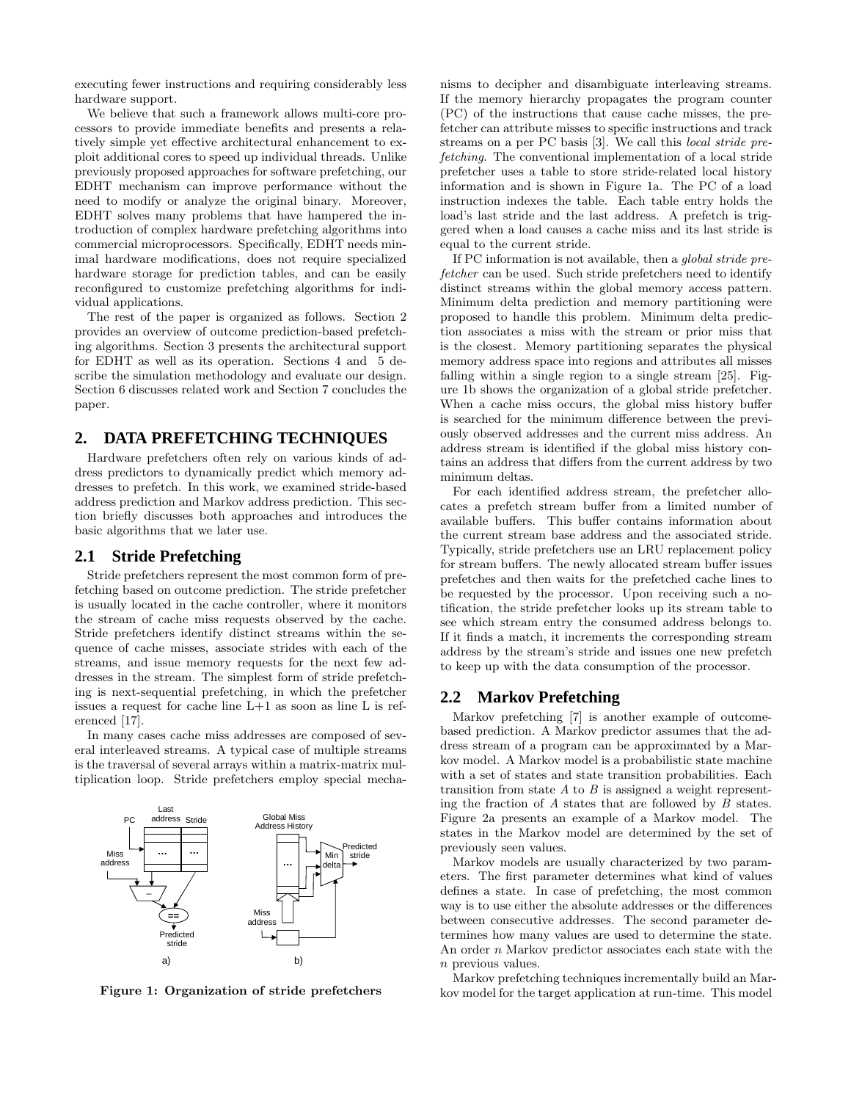executing fewer instructions and requiring considerably less hardware support.

We believe that such a framework allows multi-core processors to provide immediate benefits and presents a relatively simple yet effective architectural enhancement to exploit additional cores to speed up individual threads. Unlike previously proposed approaches for software prefetching, our EDHT mechanism can improve performance without the need to modify or analyze the original binary. Moreover, EDHT solves many problems that have hampered the introduction of complex hardware prefetching algorithms into commercial microprocessors. Specifically, EDHT needs minimal hardware modifications, does not require specialized hardware storage for prediction tables, and can be easily reconfigured to customize prefetching algorithms for individual applications.

The rest of the paper is organized as follows. Section 2 provides an overview of outcome prediction-based prefetching algorithms. Section 3 presents the architectural support for EDHT as well as its operation. Sections 4 and 5 describe the simulation methodology and evaluate our design. Section 6 discusses related work and Section 7 concludes the paper.

#### **2. DATA PREFETCHING TECHNIQUES**

Hardware prefetchers often rely on various kinds of address predictors to dynamically predict which memory addresses to prefetch. In this work, we examined stride-based address prediction and Markov address prediction. This section briefly discusses both approaches and introduces the basic algorithms that we later use.

### **2.1 Stride Prefetching**

Stride prefetchers represent the most common form of prefetching based on outcome prediction. The stride prefetcher is usually located in the cache controller, where it monitors the stream of cache miss requests observed by the cache. Stride prefetchers identify distinct streams within the sequence of cache misses, associate strides with each of the streams, and issue memory requests for the next few addresses in the stream. The simplest form of stride prefetching is next-sequential prefetching, in which the prefetcher issues a request for cache line L+1 as soon as line L is referenced [17].

In many cases cache miss addresses are composed of several interleaved streams. A typical case of multiple streams is the traversal of several arrays within a matrix-matrix multiplication loop. Stride prefetchers employ special mecha-



Figure 1: Organization of stride prefetchers

nisms to decipher and disambiguate interleaving streams. If the memory hierarchy propagates the program counter (PC) of the instructions that cause cache misses, the prefetcher can attribute misses to specific instructions and track streams on a per PC basis [3]. We call this local stride prefetching. The conventional implementation of a local stride prefetcher uses a table to store stride-related local history information and is shown in Figure 1a. The PC of a load instruction indexes the table. Each table entry holds the load's last stride and the last address. A prefetch is triggered when a load causes a cache miss and its last stride is equal to the current stride.

If PC information is not available, then a global stride prefetcher can be used. Such stride prefetchers need to identify distinct streams within the global memory access pattern. Minimum delta prediction and memory partitioning were proposed to handle this problem. Minimum delta prediction associates a miss with the stream or prior miss that is the closest. Memory partitioning separates the physical memory address space into regions and attributes all misses falling within a single region to a single stream [25]. Figure 1b shows the organization of a global stride prefetcher. When a cache miss occurs, the global miss history buffer is searched for the minimum difference between the previously observed addresses and the current miss address. An address stream is identified if the global miss history contains an address that differs from the current address by two minimum deltas.

For each identified address stream, the prefetcher allocates a prefetch stream buffer from a limited number of available buffers. This buffer contains information about the current stream base address and the associated stride. Typically, stride prefetchers use an LRU replacement policy for stream buffers. The newly allocated stream buffer issues prefetches and then waits for the prefetched cache lines to be requested by the processor. Upon receiving such a notification, the stride prefetcher looks up its stream table to see which stream entry the consumed address belongs to. If it finds a match, it increments the corresponding stream address by the stream's stride and issues one new prefetch to keep up with the data consumption of the processor.

## **2.2 Markov Prefetching**

Markov prefetching [7] is another example of outcomebased prediction. A Markov predictor assumes that the address stream of a program can be approximated by a Markov model. A Markov model is a probabilistic state machine with a set of states and state transition probabilities. Each transition from state  $A$  to  $B$  is assigned a weight representing the fraction of  $A$  states that are followed by  $B$  states. Figure 2a presents an example of a Markov model. The states in the Markov model are determined by the set of previously seen values.

Markov models are usually characterized by two parameters. The first parameter determines what kind of values defines a state. In case of prefetching, the most common way is to use either the absolute addresses or the differences between consecutive addresses. The second parameter determines how many values are used to determine the state. An order n Markov predictor associates each state with the n previous values.

Markov prefetching techniques incrementally build an Markov model for the target application at run-time. This model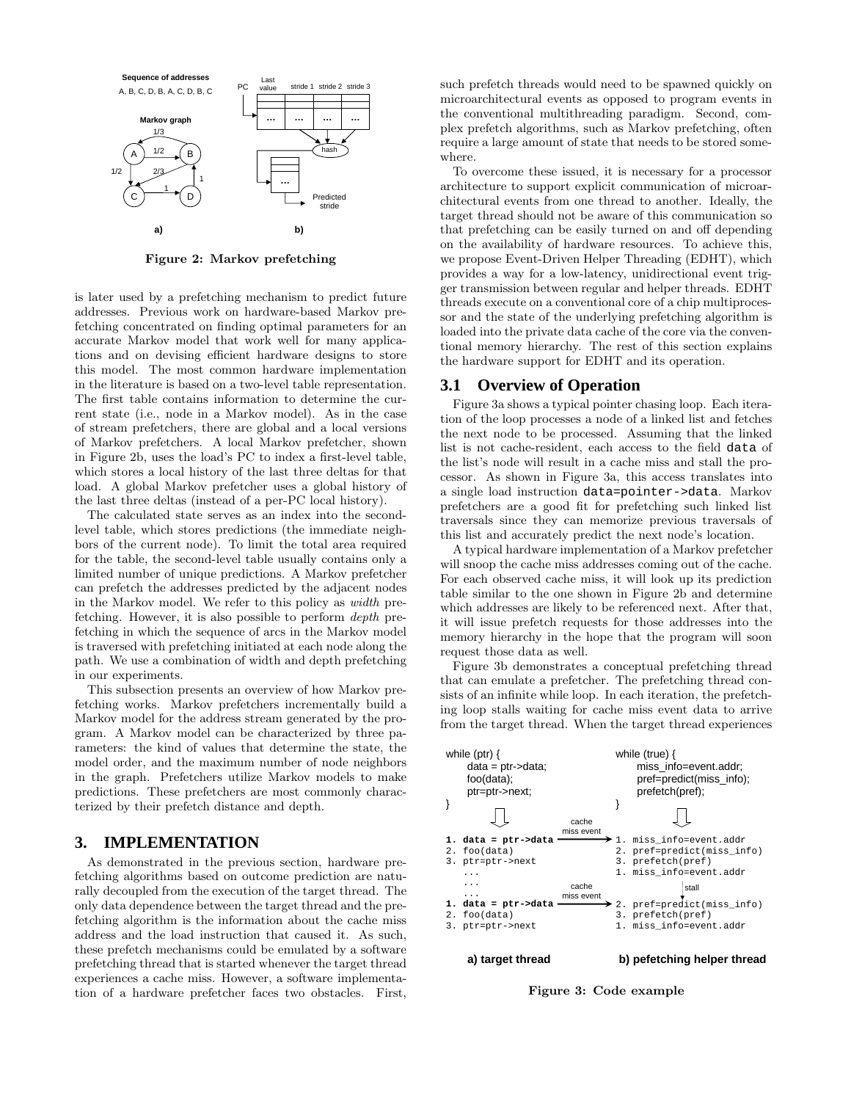

Figure 2: Markov prefetching

is later used by a prefetching mechanism to predict future addresses. Previous work on hardware-based Markov prefetching concentrated on finding optimal parameters for an accurate Markov model that work well for many applications and on devising efficient hardware designs to store this model. The most common hardware implementation in the literature is based on a two-level table representation. The first table contains information to determine the current state (i.e., node in a Markov model). As in the case of stream prefetchers, there are global and a local versions of Markov prefetchers. A local Markov prefetcher, shown in Figure 2b, uses the load's PC to index a first-level table, which stores a local history of the last three deltas for that load. A global Markov prefetcher uses a global history of the last three deltas (instead of a per-PC local history).

The calculated state serves as an index into the secondlevel table, which stores predictions (the immediate neighbors of the current node). To limit the total area required for the table, the second-level table usually contains only a limited number of unique predictions. A Markov prefetcher can prefetch the addresses predicted by the adjacent nodes in the Markov model. We refer to this policy as width prefetching. However, it is also possible to perform depth prefetching in which the sequence of arcs in the Markov model is traversed with prefetching initiated at each node along the path. We use a combination of width and depth prefetching in our experiments.

This subsection presents an overview of how Markov prefetching works. Markov prefetchers incrementally build a Markov model for the address stream generated by the program. A Markov model can be characterized by three parameters: the kind of values that determine the state, the model order, and the maximum number of node neighbors in the graph. Prefetchers utilize Markov models to make predictions. These prefetchers are most commonly characterized by their prefetch distance and depth.

#### **3. IMPLEMENTATION**

As demonstrated in the previous section, hardware prefetching algorithms based on outcome prediction are naturally decoupled from the execution of the target thread. The only data dependence between the target thread and the prefetching algorithm is the information about the cache miss address and the load instruction that caused it. As such, these prefetch mechanisms could be emulated by a software prefetching thread that is started whenever the target thread experiences a cache miss. However, a software implementation of a hardware prefetcher faces two obstacles. First, such prefetch threads would need to be spawned quickly on microarchitectural events as opposed to program events in the conventional multithreading paradigm. Second, complex prefetch algorithms, such as Markov prefetching, often require a large amount of state that needs to be stored somewhere.

To overcome these issued, it is necessary for a processor architecture to support explicit communication of microarchitectural events from one thread to another. Ideally, the target thread should not be aware of this communication so that prefetching can be easily turned on and off depending on the availability of hardware resources. To achieve this, we propose Event-Driven Helper Threading (EDHT), which provides a way for a low-latency, unidirectional event trigger transmission between regular and helper threads. EDHT threads execute on a conventional core of a chip multiprocessor and the state of the underlying prefetching algorithm is loaded into the private data cache of the core via the conventional memory hierarchy. The rest of this section explains the hardware support for EDHT and its operation.

#### **3.1 Overview of Operation**

Figure 3a shows a typical pointer chasing loop. Each iteration of the loop processes a node of a linked list and fetches the next node to be processed. Assuming that the linked list is not cache-resident, each access to the field data of the list's node will result in a cache miss and stall the processor. As shown in Figure 3a, this access translates into a single load instruction data=pointer->data. Markov prefetchers are a good fit for prefetching such linked list traversals since they can memorize previous traversals of this list and accurately predict the next node's location.

A typical hardware implementation of a Markov prefetcher will snoop the cache miss addresses coming out of the cache. For each observed cache miss, it will look up its prediction table similar to the one shown in Figure 2b and determine which addresses are likely to be referenced next. After that, it will issue prefetch requests for those addresses into the memory hierarchy in the hope that the program will soon request those data as well.

Figure 3b demonstrates a conceptual prefetching thread that can emulate a prefetcher. The prefetching thread consists of an infinite while loop. In each iteration, the prefetching loop stalls waiting for cache miss event data to arrive from the target thread. When the target thread experiences



**a) target thread b) pefetching helper thread**

#### Figure 3: Code example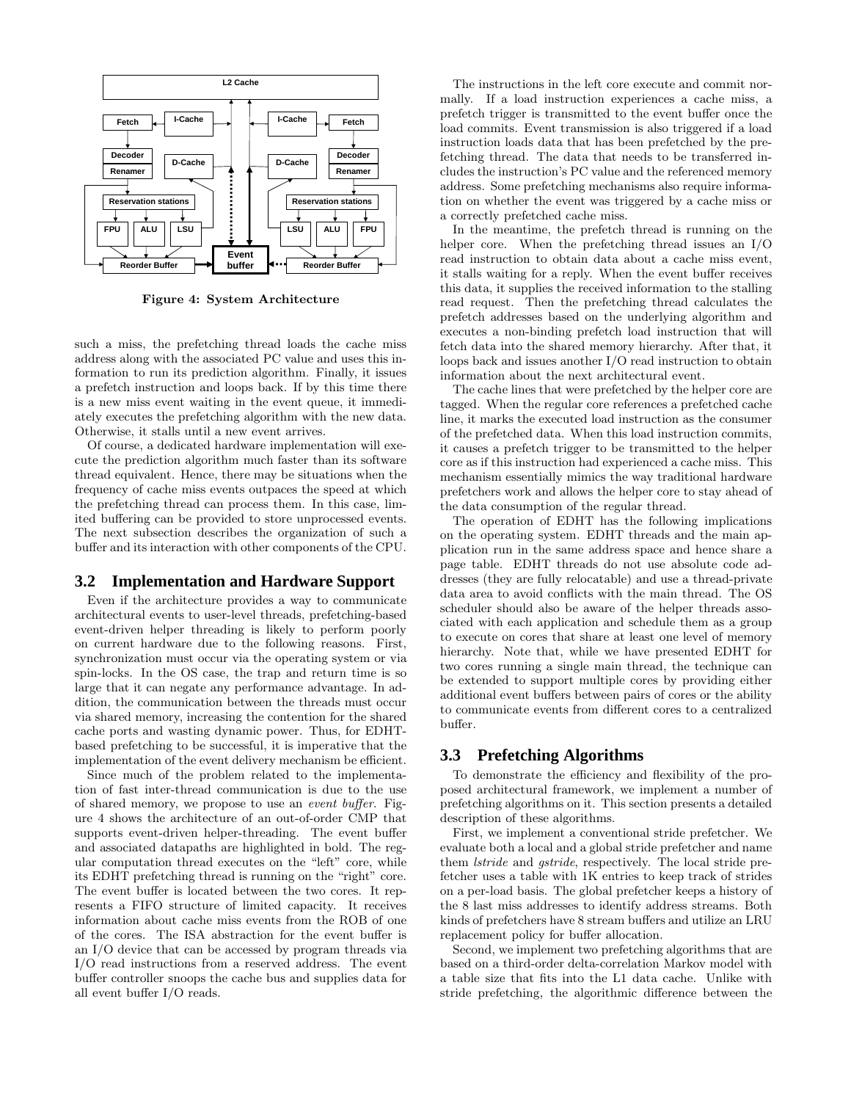

Figure 4: System Architecture

such a miss, the prefetching thread loads the cache miss address along with the associated PC value and uses this information to run its prediction algorithm. Finally, it issues a prefetch instruction and loops back. If by this time there is a new miss event waiting in the event queue, it immediately executes the prefetching algorithm with the new data. Otherwise, it stalls until a new event arrives.

Of course, a dedicated hardware implementation will execute the prediction algorithm much faster than its software thread equivalent. Hence, there may be situations when the frequency of cache miss events outpaces the speed at which the prefetching thread can process them. In this case, limited buffering can be provided to store unprocessed events. The next subsection describes the organization of such a buffer and its interaction with other components of the CPU.

#### **3.2 Implementation and Hardware Support**

Even if the architecture provides a way to communicate architectural events to user-level threads, prefetching-based event-driven helper threading is likely to perform poorly on current hardware due to the following reasons. First, synchronization must occur via the operating system or via spin-locks. In the OS case, the trap and return time is so large that it can negate any performance advantage. In addition, the communication between the threads must occur via shared memory, increasing the contention for the shared cache ports and wasting dynamic power. Thus, for EDHTbased prefetching to be successful, it is imperative that the implementation of the event delivery mechanism be efficient.

Since much of the problem related to the implementation of fast inter-thread communication is due to the use of shared memory, we propose to use an event buffer. Figure 4 shows the architecture of an out-of-order CMP that supports event-driven helper-threading. The event buffer and associated datapaths are highlighted in bold. The regular computation thread executes on the "left" core, while its EDHT prefetching thread is running on the "right" core. The event buffer is located between the two cores. It represents a FIFO structure of limited capacity. It receives information about cache miss events from the ROB of one of the cores. The ISA abstraction for the event buffer is an I/O device that can be accessed by program threads via I/O read instructions from a reserved address. The event buffer controller snoops the cache bus and supplies data for all event buffer I/O reads.

The instructions in the left core execute and commit normally. If a load instruction experiences a cache miss, a prefetch trigger is transmitted to the event buffer once the load commits. Event transmission is also triggered if a load instruction loads data that has been prefetched by the prefetching thread. The data that needs to be transferred includes the instruction's PC value and the referenced memory address. Some prefetching mechanisms also require information on whether the event was triggered by a cache miss or a correctly prefetched cache miss.

In the meantime, the prefetch thread is running on the helper core. When the prefetching thread issues an I/O read instruction to obtain data about a cache miss event, it stalls waiting for a reply. When the event buffer receives this data, it supplies the received information to the stalling read request. Then the prefetching thread calculates the prefetch addresses based on the underlying algorithm and executes a non-binding prefetch load instruction that will fetch data into the shared memory hierarchy. After that, it loops back and issues another I/O read instruction to obtain information about the next architectural event.

The cache lines that were prefetched by the helper core are tagged. When the regular core references a prefetched cache line, it marks the executed load instruction as the consumer of the prefetched data. When this load instruction commits, it causes a prefetch trigger to be transmitted to the helper core as if this instruction had experienced a cache miss. This mechanism essentially mimics the way traditional hardware prefetchers work and allows the helper core to stay ahead of the data consumption of the regular thread.

The operation of EDHT has the following implications on the operating system. EDHT threads and the main application run in the same address space and hence share a page table. EDHT threads do not use absolute code addresses (they are fully relocatable) and use a thread-private data area to avoid conflicts with the main thread. The OS scheduler should also be aware of the helper threads associated with each application and schedule them as a group to execute on cores that share at least one level of memory hierarchy. Note that, while we have presented EDHT for two cores running a single main thread, the technique can be extended to support multiple cores by providing either additional event buffers between pairs of cores or the ability to communicate events from different cores to a centralized buffer.

#### **3.3 Prefetching Algorithms**

To demonstrate the efficiency and flexibility of the proposed architectural framework, we implement a number of prefetching algorithms on it. This section presents a detailed description of these algorithms.

First, we implement a conventional stride prefetcher. We evaluate both a local and a global stride prefetcher and name them lstride and gstride, respectively. The local stride prefetcher uses a table with 1K entries to keep track of strides on a per-load basis. The global prefetcher keeps a history of the 8 last miss addresses to identify address streams. Both kinds of prefetchers have 8 stream buffers and utilize an LRU replacement policy for buffer allocation.

Second, we implement two prefetching algorithms that are based on a third-order delta-correlation Markov model with a table size that fits into the L1 data cache. Unlike with stride prefetching, the algorithmic difference between the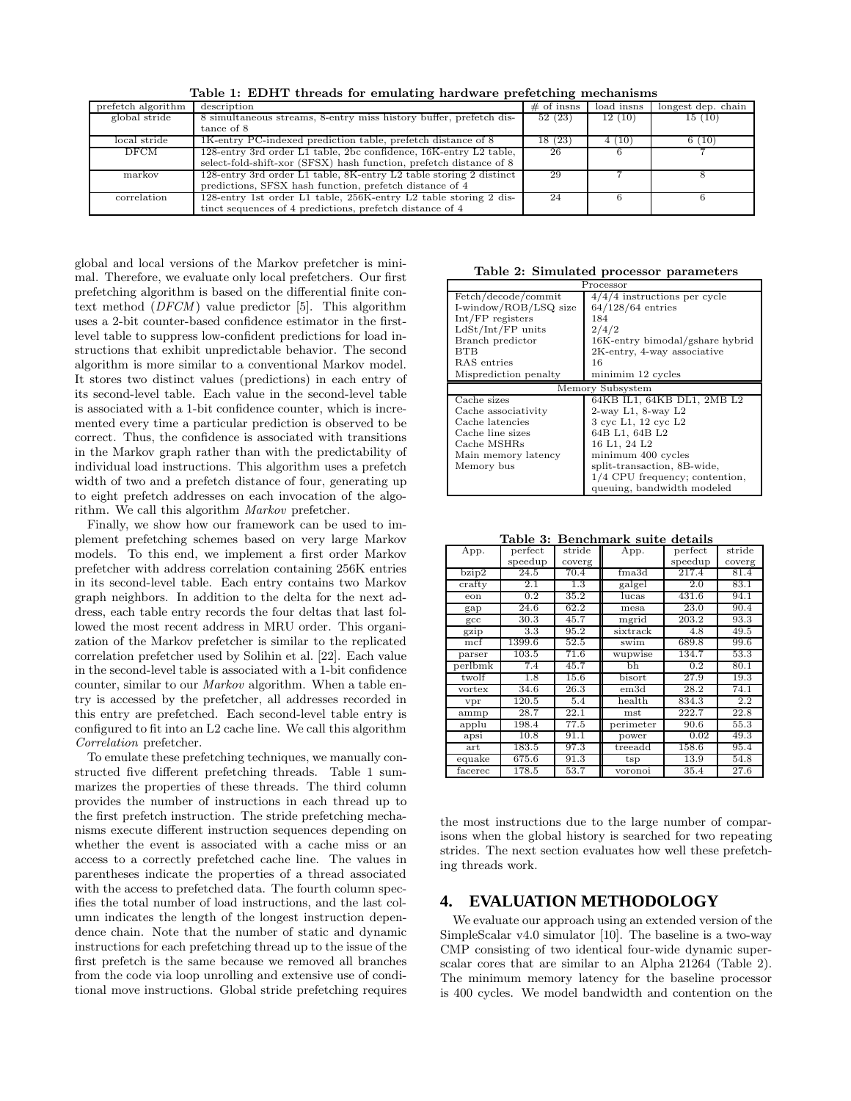Table 1: EDHT threads for emulating hardware prefetching mechanisms

| description                                                        | $#$ of insns                                                     | load insns | longest dep. chain |
|--------------------------------------------------------------------|------------------------------------------------------------------|------------|--------------------|
| 8 simultaneous streams, 8-entry miss history buffer, prefetch dis- | 52(23)                                                           | 12(10)     | 15(10)             |
| tance of 8                                                         |                                                                  |            |                    |
| 1K-entry PC-indexed prediction table, prefetch distance of 8       | 18 (23)                                                          | 4(10)      | 6(10)              |
| 128-entry 3rd order L1 table, 2bc confidence, 16K-entry L2 table,  | 26                                                               |            |                    |
| select-fold-shift-xor (SFSX) hash function, prefetch distance of 8 |                                                                  |            |                    |
| 128-entry 3rd order L1 table, 8K-entry L2 table storing 2 distinct | 29                                                               |            |                    |
| predictions, SFSX hash function, prefetch distance of 4            |                                                                  |            |                    |
|                                                                    | 24                                                               |            |                    |
| tinct sequences of 4 predictions, prefetch distance of 4           |                                                                  |            |                    |
|                                                                    | 128-entry 1st order L1 table, 256K-entry L2 table storing 2 dis- | $\cdot$    |                    |

global and local versions of the Markov prefetcher is minimal. Therefore, we evaluate only local prefetchers. Our first prefetching algorithm is based on the differential finite context method  $(DFCM)$  value predictor [5]. This algorithm uses a 2-bit counter-based confidence estimator in the firstlevel table to suppress low-confident predictions for load instructions that exhibit unpredictable behavior. The second algorithm is more similar to a conventional Markov model. It stores two distinct values (predictions) in each entry of its second-level table. Each value in the second-level table is associated with a 1-bit confidence counter, which is incremented every time a particular prediction is observed to be correct. Thus, the confidence is associated with transitions in the Markov graph rather than with the predictability of individual load instructions. This algorithm uses a prefetch width of two and a prefetch distance of four, generating up to eight prefetch addresses on each invocation of the algorithm. We call this algorithm Markov prefetcher.

Finally, we show how our framework can be used to implement prefetching schemes based on very large Markov models. To this end, we implement a first order Markov prefetcher with address correlation containing 256K entries in its second-level table. Each entry contains two Markov graph neighbors. In addition to the delta for the next address, each table entry records the four deltas that last followed the most recent address in MRU order. This organization of the Markov prefetcher is similar to the replicated correlation prefetcher used by Solihin et al. [22]. Each value in the second-level table is associated with a 1-bit confidence counter, similar to our Markov algorithm. When a table entry is accessed by the prefetcher, all addresses recorded in this entry are prefetched. Each second-level table entry is configured to fit into an L2 cache line. We call this algorithm Correlation prefetcher.

To emulate these prefetching techniques, we manually constructed five different prefetching threads. Table 1 summarizes the properties of these threads. The third column provides the number of instructions in each thread up to the first prefetch instruction. The stride prefetching mechanisms execute different instruction sequences depending on whether the event is associated with a cache miss or an access to a correctly prefetched cache line. The values in parentheses indicate the properties of a thread associated with the access to prefetched data. The fourth column specifies the total number of load instructions, and the last column indicates the length of the longest instruction dependence chain. Note that the number of static and dynamic instructions for each prefetching thread up to the issue of the first prefetch is the same because we removed all branches from the code via loop unrolling and extensive use of conditional move instructions. Global stride prefetching requires

#### Table 2: Simulated processor parameters

| Processor             |                                  |  |  |  |  |  |
|-----------------------|----------------------------------|--|--|--|--|--|
| Fetch/decode/commit   | $4/4/4$ instructions per cycle   |  |  |  |  |  |
| I-window/ROB/LSQ size | $64/128/64$ entries              |  |  |  |  |  |
| $Int/FP$ registers    | 184                              |  |  |  |  |  |
| $LdSt/Int/FP$ units   | 2/4/2                            |  |  |  |  |  |
| Branch predictor      | 16K-entry bimodal/gshare hybrid  |  |  |  |  |  |
| <b>BTB</b>            | 2K-entry, 4-way associative      |  |  |  |  |  |
| <b>RAS</b> entries    | 16                               |  |  |  |  |  |
| Misprediction penalty | minimim 12 cycles                |  |  |  |  |  |
| Memory Subsystem      |                                  |  |  |  |  |  |
| Cache sizes           | 64KB IL1, 64KB DL1, 2MB L2       |  |  |  |  |  |
|                       |                                  |  |  |  |  |  |
| Cache associativity   | $2$ -way L1, 8-way L2            |  |  |  |  |  |
| Cache latencies       | 3 cyc L1, 12 cyc L2              |  |  |  |  |  |
| Cache line sizes      | 64B L1, 64B L2                   |  |  |  |  |  |
| Cache MSHRs           | 16 L1, 24 L2                     |  |  |  |  |  |
| Main memory latency   | minimum 400 cycles               |  |  |  |  |  |
| Memory bus            | split-transaction, 8B-wide,      |  |  |  |  |  |
|                       | $1/4$ CPU frequency; contention, |  |  |  |  |  |

Table 3: Benchmark suite details

| App.         | perfect | stride | App.          | perfect | stride  |
|--------------|---------|--------|---------------|---------|---------|
|              | speedup | coverg |               | speedup | coverg  |
| bzip2        | 24.5    | 70.4   | fma3d         | 217.4   | 81.4    |
| crafty       | 2.1     | 1.3    | galgel        | 2.0     | 83.1    |
| eon          | 0.2     | 35.2   | lucas         | 431.6   | 94.1    |
| gap          | 24.6    | 62.2   | mesa          | 23.0    | 90.4    |
| $_{\rm gcc}$ | 30.3    | 45.7   | mgrid         | 203.2   | 93.3    |
| gzip         | 3.3     | 95.2   | sixtrack      | 4.8     | 49.5    |
| mcf          | 1399.6  | 52.5   | swim          | 689.8   | 99.6    |
| parser       | 103.5   | 71.6   | wupwise       | 134.7   | 53.3    |
| perlbmk      | 7.4     | 45.7   | bh            | 0.2     | 80.1    |
| twolf        | 1.8     | 15.6   | <b>bisort</b> | 27.9    | 19.3    |
| vortex       | 34.6    | 26.3   | em3d          | 28.2    | 74.1    |
| vpr          | 120.5   | 5.4    | health        | 834.3   | $2.2\,$ |
| ammp         | 28.7    | 22.1   | mst           | 222.7   | 22.8    |
| applu        | 198.4   | 77.5   | perimeter     | 90.6    | 55.3    |
| apsi         | 10.8    | 91.1   | power         | 0.02    | 49.3    |
| art          | 183.5   | 97.3   | treeadd       | 158.6   | 95.4    |
| equake       | 675.6   | 91.3   | tsp           | 13.9    | 54.8    |
| facerec      | 178.5   | 53.7   | voronoi       | 35.4    | 27.6    |

the most instructions due to the large number of comparisons when the global history is searched for two repeating strides. The next section evaluates how well these prefetching threads work.

#### **4. EVALUATION METHODOLOGY**

We evaluate our approach using an extended version of the SimpleScalar v4.0 simulator [10]. The baseline is a two-way CMP consisting of two identical four-wide dynamic superscalar cores that are similar to an Alpha 21264 (Table 2). The minimum memory latency for the baseline processor is 400 cycles. We model bandwidth and contention on the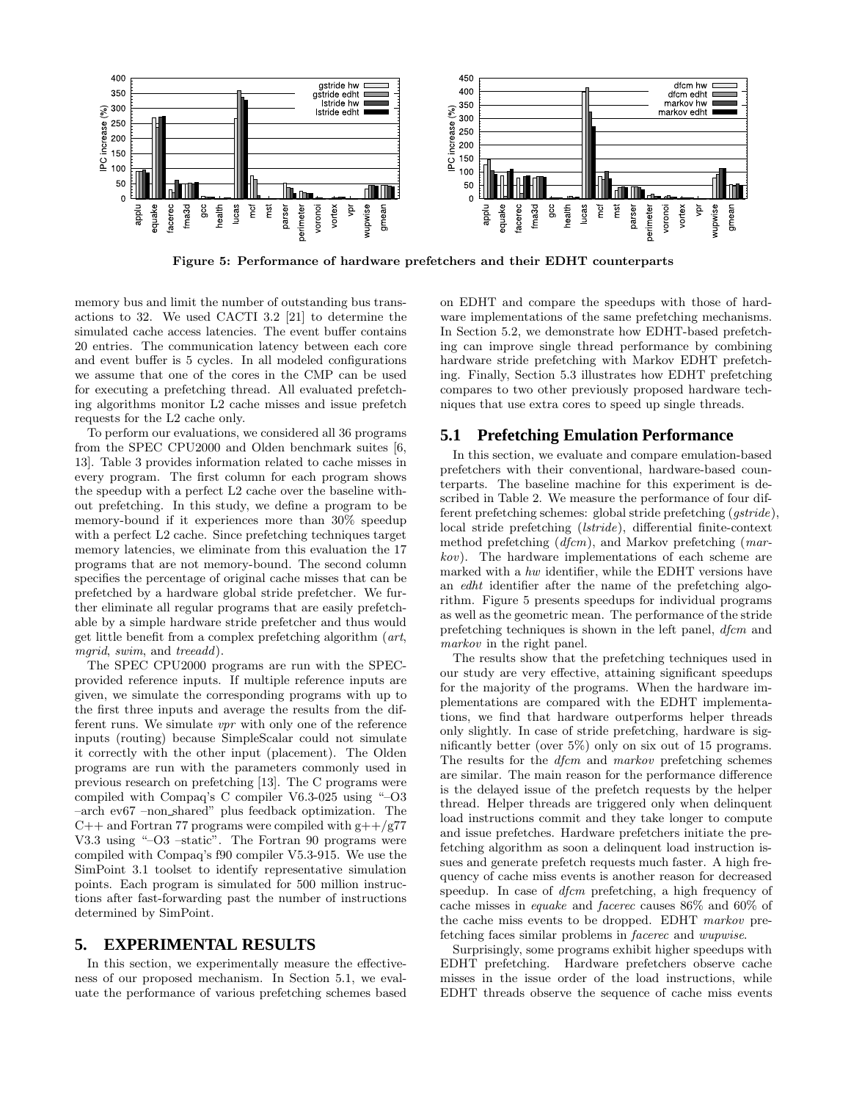

Figure 5: Performance of hardware prefetchers and their EDHT counterparts

memory bus and limit the number of outstanding bus transactions to 32. We used CACTI 3.2 [21] to determine the simulated cache access latencies. The event buffer contains 20 entries. The communication latency between each core and event buffer is 5 cycles. In all modeled configurations we assume that one of the cores in the CMP can be used for executing a prefetching thread. All evaluated prefetching algorithms monitor L2 cache misses and issue prefetch requests for the L2 cache only.

To perform our evaluations, we considered all 36 programs from the SPEC CPU2000 and Olden benchmark suites [6, 13]. Table 3 provides information related to cache misses in every program. The first column for each program shows the speedup with a perfect L2 cache over the baseline without prefetching. In this study, we define a program to be memory-bound if it experiences more than 30% speedup with a perfect L2 cache. Since prefetching techniques target memory latencies, we eliminate from this evaluation the 17 programs that are not memory-bound. The second column specifies the percentage of original cache misses that can be prefetched by a hardware global stride prefetcher. We further eliminate all regular programs that are easily prefetchable by a simple hardware stride prefetcher and thus would get little benefit from a complex prefetching algorithm (art, mgrid, swim, and treeadd).

The SPEC CPU2000 programs are run with the SPECprovided reference inputs. If multiple reference inputs are given, we simulate the corresponding programs with up to the first three inputs and average the results from the different runs. We simulate vpr with only one of the reference inputs (routing) because SimpleScalar could not simulate it correctly with the other input (placement). The Olden programs are run with the parameters commonly used in previous research on prefetching [13]. The C programs were compiled with Compaq's C compiler V6.3-025 using "–O3 –arch ev67 –non shared" plus feedback optimization. The  $C++$  and Fortran 77 programs were compiled with  $g++/g77$ V3.3 using "–O3 –static". The Fortran 90 programs were compiled with Compaq's f90 compiler V5.3-915. We use the SimPoint 3.1 toolset to identify representative simulation points. Each program is simulated for 500 million instructions after fast-forwarding past the number of instructions determined by SimPoint.

#### **5. EXPERIMENTAL RESULTS**

In this section, we experimentally measure the effectiveness of our proposed mechanism. In Section 5.1, we evaluate the performance of various prefetching schemes based on EDHT and compare the speedups with those of hardware implementations of the same prefetching mechanisms. In Section 5.2, we demonstrate how EDHT-based prefetching can improve single thread performance by combining hardware stride prefetching with Markov EDHT prefetching. Finally, Section 5.3 illustrates how EDHT prefetching compares to two other previously proposed hardware techniques that use extra cores to speed up single threads.

#### **5.1 Prefetching Emulation Performance**

In this section, we evaluate and compare emulation-based prefetchers with their conventional, hardware-based counterparts. The baseline machine for this experiment is described in Table 2. We measure the performance of four different prefetching schemes: global stride prefetching (gstride), local stride prefetching (lstride), differential finite-context method prefetching (*dfcm*), and Markov prefetching (*mar*kov). The hardware implementations of each scheme are marked with a hw identifier, while the EDHT versions have an edht identifier after the name of the prefetching algorithm. Figure 5 presents speedups for individual programs as well as the geometric mean. The performance of the stride prefetching techniques is shown in the left panel, dfcm and markov in the right panel.

The results show that the prefetching techniques used in our study are very effective, attaining significant speedups for the majority of the programs. When the hardware implementations are compared with the EDHT implementations, we find that hardware outperforms helper threads only slightly. In case of stride prefetching, hardware is significantly better (over 5%) only on six out of 15 programs. The results for the *dfcm* and *markov* prefetching schemes are similar. The main reason for the performance difference is the delayed issue of the prefetch requests by the helper thread. Helper threads are triggered only when delinquent load instructions commit and they take longer to compute and issue prefetches. Hardware prefetchers initiate the prefetching algorithm as soon a delinquent load instruction issues and generate prefetch requests much faster. A high frequency of cache miss events is another reason for decreased speedup. In case of *dfcm* prefetching, a high frequency of cache misses in equake and facerec causes 86% and 60% of the cache miss events to be dropped. EDHT markov prefetching faces similar problems in facerec and wupwise.

Surprisingly, some programs exhibit higher speedups with EDHT prefetching. Hardware prefetchers observe cache misses in the issue order of the load instructions, while EDHT threads observe the sequence of cache miss events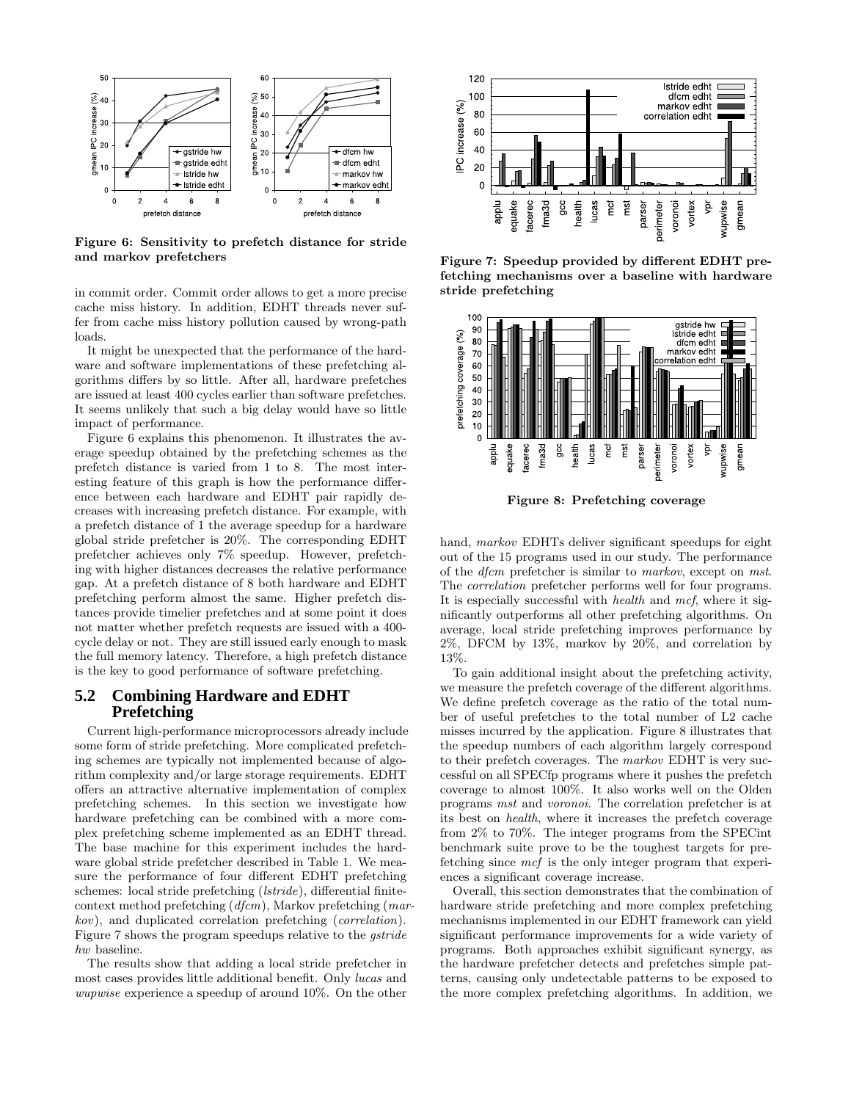

Figure 6: Sensitivity to prefetch distance for stride and markov prefetchers

in commit order. Commit order allows to get a more precise cache miss history. In addition, EDHT threads never suffer from cache miss history pollution caused by wrong-path loads.

It might be unexpected that the performance of the hardware and software implementations of these prefetching algorithms differs by so little. After all, hardware prefetches are issued at least 400 cycles earlier than software prefetches. It seems unlikely that such a big delay would have so little impact of performance.

Figure 6 explains this phenomenon. It illustrates the average speedup obtained by the prefetching schemes as the prefetch distance is varied from 1 to 8. The most interesting feature of this graph is how the performance difference between each hardware and EDHT pair rapidly decreases with increasing prefetch distance. For example, with a prefetch distance of 1 the average speedup for a hardware global stride prefetcher is 20%. The corresponding EDHT prefetcher achieves only 7% speedup. However, prefetching with higher distances decreases the relative performance gap. At a prefetch distance of 8 both hardware and EDHT prefetching perform almost the same. Higher prefetch distances provide timelier prefetches and at some point it does not matter whether prefetch requests are issued with a 400 cycle delay or not. They are still issued early enough to mask the full memory latency. Therefore, a high prefetch distance is the key to good performance of software prefetching.

#### **5.2 Combining Hardware and EDHT Prefetching**

Current high-performance microprocessors already include some form of stride prefetching. More complicated prefetching schemes are typically not implemented because of algorithm complexity and/or large storage requirements. EDHT offers an attractive alternative implementation of complex prefetching schemes. In this section we investigate how hardware prefetching can be combined with a more complex prefetching scheme implemented as an EDHT thread. The base machine for this experiment includes the hardware global stride prefetcher described in Table 1. We measure the performance of four different EDHT prefetching schemes: local stride prefetching (lstride), differential finitecontext method prefetching  $(d\ell cm)$ , Markov prefetching  $(mar$ kov), and duplicated correlation prefetching (correlation). Figure 7 shows the program speedups relative to the gstride hw baseline.

The results show that adding a local stride prefetcher in most cases provides little additional benefit. Only lucas and wupwise experience a speedup of around 10%. On the other



Figure 7: Speedup provided by different EDHT prefetching mechanisms over a baseline with hardware stride prefetching



Figure 8: Prefetching coverage

hand, markov EDHTs deliver significant speedups for eight out of the 15 programs used in our study. The performance of the dfcm prefetcher is similar to markov, except on mst. The correlation prefetcher performs well for four programs. It is especially successful with *health* and mcf, where it significantly outperforms all other prefetching algorithms. On average, local stride prefetching improves performance by 2%, DFCM by 13%, markov by 20%, and correlation by 13%.

To gain additional insight about the prefetching activity, we measure the prefetch coverage of the different algorithms. We define prefetch coverage as the ratio of the total number of useful prefetches to the total number of L2 cache misses incurred by the application. Figure 8 illustrates that the speedup numbers of each algorithm largely correspond to their prefetch coverages. The markov EDHT is very successful on all SPECfp programs where it pushes the prefetch coverage to almost 100%. It also works well on the Olden programs mst and voronoi. The correlation prefetcher is at its best on health, where it increases the prefetch coverage from 2% to 70%. The integer programs from the SPECint benchmark suite prove to be the toughest targets for prefetching since mcf is the only integer program that experiences a significant coverage increase.

Overall, this section demonstrates that the combination of hardware stride prefetching and more complex prefetching mechanisms implemented in our EDHT framework can yield significant performance improvements for a wide variety of programs. Both approaches exhibit significant synergy, as the hardware prefetcher detects and prefetches simple patterns, causing only undetectable patterns to be exposed to the more complex prefetching algorithms. In addition, we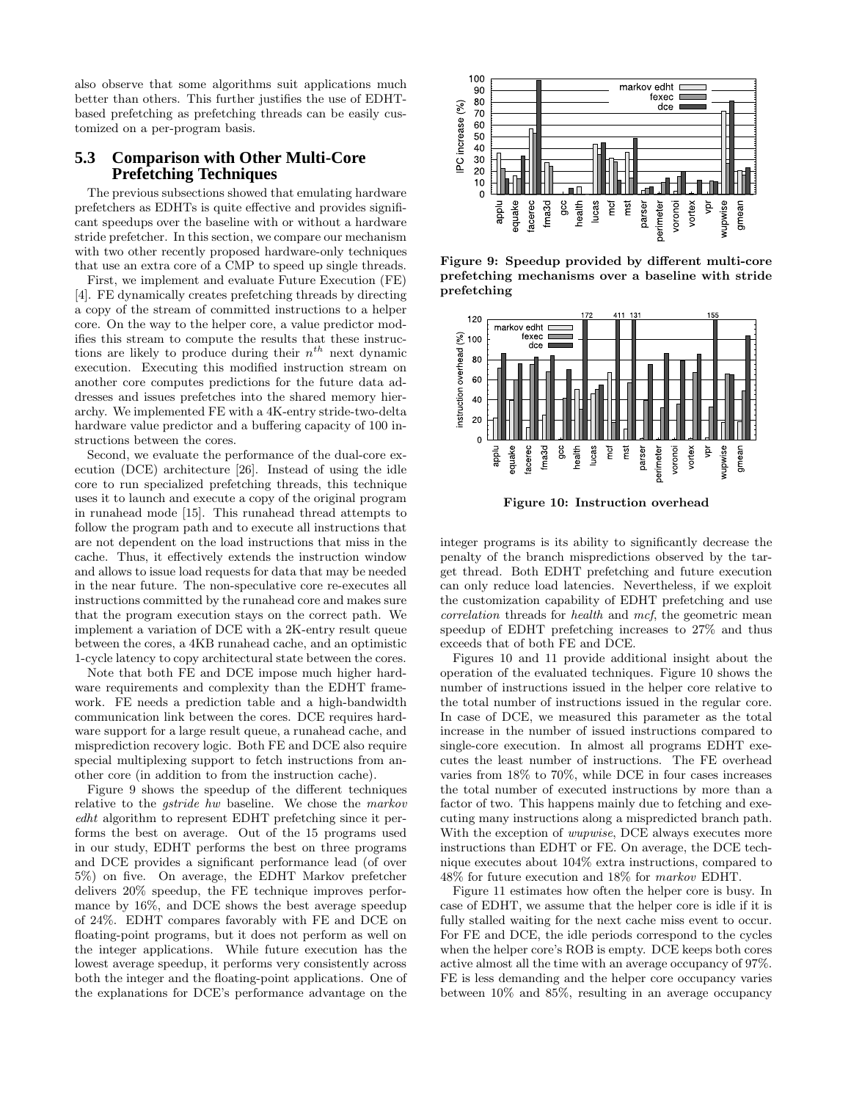also observe that some algorithms suit applications much better than others. This further justifies the use of EDHTbased prefetching as prefetching threads can be easily customized on a per-program basis.

## **5.3 Comparison with Other Multi-Core Prefetching Techniques**

The previous subsections showed that emulating hardware prefetchers as EDHTs is quite effective and provides significant speedups over the baseline with or without a hardware stride prefetcher. In this section, we compare our mechanism with two other recently proposed hardware-only techniques that use an extra core of a CMP to speed up single threads.

First, we implement and evaluate Future Execution (FE) [4]. FE dynamically creates prefetching threads by directing a copy of the stream of committed instructions to a helper core. On the way to the helper core, a value predictor modifies this stream to compute the results that these instructions are likely to produce during their  $n^{th}$  next dynamic execution. Executing this modified instruction stream on another core computes predictions for the future data addresses and issues prefetches into the shared memory hierarchy. We implemented FE with a 4K-entry stride-two-delta hardware value predictor and a buffering capacity of 100 instructions between the cores.

Second, we evaluate the performance of the dual-core execution (DCE) architecture [26]. Instead of using the idle core to run specialized prefetching threads, this technique uses it to launch and execute a copy of the original program in runahead mode [15]. This runahead thread attempts to follow the program path and to execute all instructions that are not dependent on the load instructions that miss in the cache. Thus, it effectively extends the instruction window and allows to issue load requests for data that may be needed in the near future. The non-speculative core re-executes all instructions committed by the runahead core and makes sure that the program execution stays on the correct path. We implement a variation of DCE with a 2K-entry result queue between the cores, a 4KB runahead cache, and an optimistic 1-cycle latency to copy architectural state between the cores.

Note that both FE and DCE impose much higher hardware requirements and complexity than the EDHT framework. FE needs a prediction table and a high-bandwidth communication link between the cores. DCE requires hardware support for a large result queue, a runahead cache, and misprediction recovery logic. Both FE and DCE also require special multiplexing support to fetch instructions from another core (in addition to from the instruction cache).

Figure 9 shows the speedup of the different techniques relative to the gstride hw baseline. We chose the markov edht algorithm to represent EDHT prefetching since it performs the best on average. Out of the 15 programs used in our study, EDHT performs the best on three programs and DCE provides a significant performance lead (of over 5%) on five. On average, the EDHT Markov prefetcher delivers 20% speedup, the FE technique improves performance by 16%, and DCE shows the best average speedup of 24%. EDHT compares favorably with FE and DCE on floating-point programs, but it does not perform as well on the integer applications. While future execution has the lowest average speedup, it performs very consistently across both the integer and the floating-point applications. One of the explanations for DCE's performance advantage on the



Figure 9: Speedup provided by different multi-core prefetching mechanisms over a baseline with stride prefetching



Figure 10: Instruction overhead

integer programs is its ability to significantly decrease the penalty of the branch mispredictions observed by the target thread. Both EDHT prefetching and future execution can only reduce load latencies. Nevertheless, if we exploit the customization capability of EDHT prefetching and use correlation threads for health and mcf, the geometric mean speedup of EDHT prefetching increases to 27% and thus exceeds that of both FE and DCE.

Figures 10 and 11 provide additional insight about the operation of the evaluated techniques. Figure 10 shows the number of instructions issued in the helper core relative to the total number of instructions issued in the regular core. In case of DCE, we measured this parameter as the total increase in the number of issued instructions compared to single-core execution. In almost all programs EDHT executes the least number of instructions. The FE overhead varies from 18% to 70%, while DCE in four cases increases the total number of executed instructions by more than a factor of two. This happens mainly due to fetching and executing many instructions along a mispredicted branch path. With the exception of wupwise, DCE always executes more instructions than EDHT or FE. On average, the DCE technique executes about 104% extra instructions, compared to 48% for future execution and 18% for markov EDHT.

Figure 11 estimates how often the helper core is busy. In case of EDHT, we assume that the helper core is idle if it is fully stalled waiting for the next cache miss event to occur. For FE and DCE, the idle periods correspond to the cycles when the helper core's ROB is empty. DCE keeps both cores active almost all the time with an average occupancy of 97%. FE is less demanding and the helper core occupancy varies between 10% and 85%, resulting in an average occupancy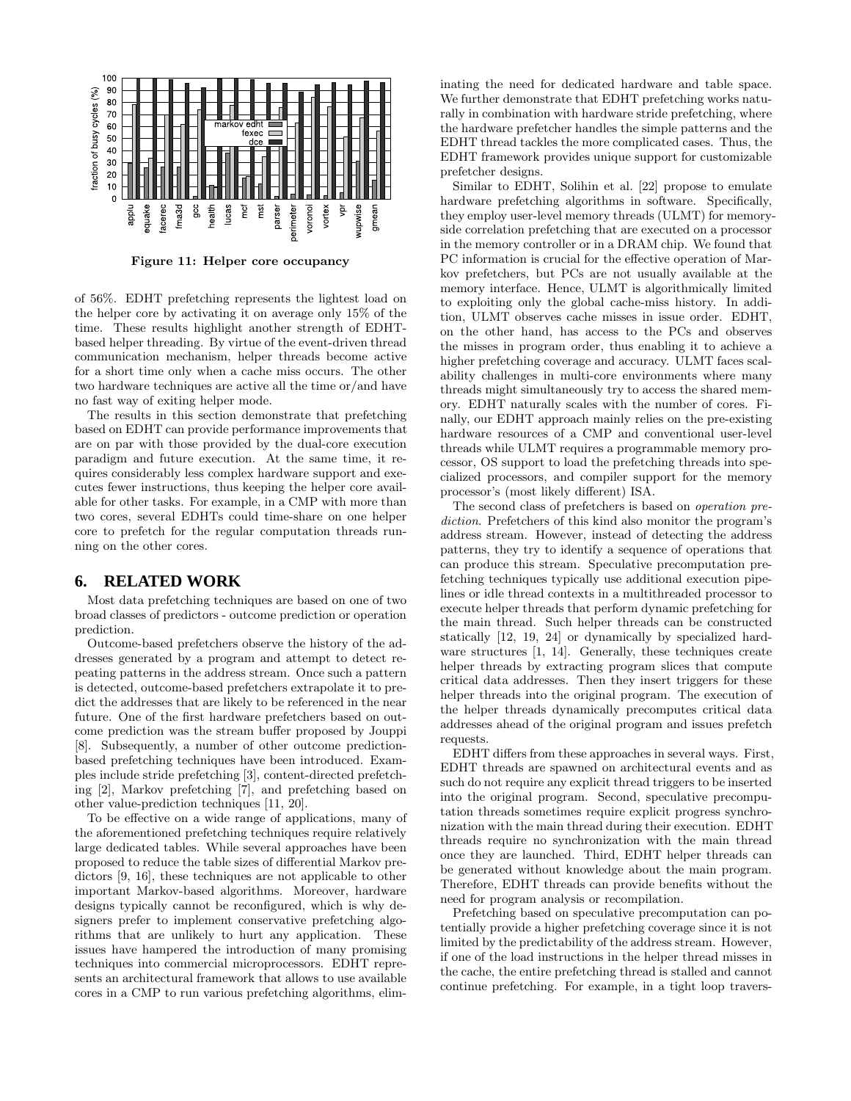

Figure 11: Helper core occupancy

of 56%. EDHT prefetching represents the lightest load on the helper core by activating it on average only 15% of the time. These results highlight another strength of EDHTbased helper threading. By virtue of the event-driven thread communication mechanism, helper threads become active for a short time only when a cache miss occurs. The other two hardware techniques are active all the time or/and have no fast way of exiting helper mode.

The results in this section demonstrate that prefetching based on EDHT can provide performance improvements that are on par with those provided by the dual-core execution paradigm and future execution. At the same time, it requires considerably less complex hardware support and executes fewer instructions, thus keeping the helper core available for other tasks. For example, in a CMP with more than two cores, several EDHTs could time-share on one helper core to prefetch for the regular computation threads running on the other cores.

#### **6. RELATED WORK**

Most data prefetching techniques are based on one of two broad classes of predictors - outcome prediction or operation prediction.

Outcome-based prefetchers observe the history of the addresses generated by a program and attempt to detect repeating patterns in the address stream. Once such a pattern is detected, outcome-based prefetchers extrapolate it to predict the addresses that are likely to be referenced in the near future. One of the first hardware prefetchers based on outcome prediction was the stream buffer proposed by Jouppi [8]. Subsequently, a number of other outcome predictionbased prefetching techniques have been introduced. Examples include stride prefetching [3], content-directed prefetching [2], Markov prefetching [7], and prefetching based on other value-prediction techniques [11, 20].

To be effective on a wide range of applications, many of the aforementioned prefetching techniques require relatively large dedicated tables. While several approaches have been proposed to reduce the table sizes of differential Markov predictors [9, 16], these techniques are not applicable to other important Markov-based algorithms. Moreover, hardware designs typically cannot be reconfigured, which is why designers prefer to implement conservative prefetching algorithms that are unlikely to hurt any application. These issues have hampered the introduction of many promising techniques into commercial microprocessors. EDHT represents an architectural framework that allows to use available cores in a CMP to run various prefetching algorithms, eliminating the need for dedicated hardware and table space. We further demonstrate that EDHT prefetching works naturally in combination with hardware stride prefetching, where the hardware prefetcher handles the simple patterns and the EDHT thread tackles the more complicated cases. Thus, the EDHT framework provides unique support for customizable prefetcher designs.

Similar to EDHT, Solihin et al. [22] propose to emulate hardware prefetching algorithms in software. Specifically, they employ user-level memory threads (ULMT) for memoryside correlation prefetching that are executed on a processor in the memory controller or in a DRAM chip. We found that PC information is crucial for the effective operation of Markov prefetchers, but PCs are not usually available at the memory interface. Hence, ULMT is algorithmically limited to exploiting only the global cache-miss history. In addition, ULMT observes cache misses in issue order. EDHT, on the other hand, has access to the PCs and observes the misses in program order, thus enabling it to achieve a higher prefetching coverage and accuracy. ULMT faces scalability challenges in multi-core environments where many threads might simultaneously try to access the shared memory. EDHT naturally scales with the number of cores. Finally, our EDHT approach mainly relies on the pre-existing hardware resources of a CMP and conventional user-level threads while ULMT requires a programmable memory processor, OS support to load the prefetching threads into specialized processors, and compiler support for the memory processor's (most likely different) ISA.

The second class of prefetchers is based on operation prediction. Prefetchers of this kind also monitor the program's address stream. However, instead of detecting the address patterns, they try to identify a sequence of operations that can produce this stream. Speculative precomputation prefetching techniques typically use additional execution pipelines or idle thread contexts in a multithreaded processor to execute helper threads that perform dynamic prefetching for the main thread. Such helper threads can be constructed statically [12, 19, 24] or dynamically by specialized hardware structures [1, 14]. Generally, these techniques create helper threads by extracting program slices that compute critical data addresses. Then they insert triggers for these helper threads into the original program. The execution of the helper threads dynamically precomputes critical data addresses ahead of the original program and issues prefetch requests.

EDHT differs from these approaches in several ways. First, EDHT threads are spawned on architectural events and as such do not require any explicit thread triggers to be inserted into the original program. Second, speculative precomputation threads sometimes require explicit progress synchronization with the main thread during their execution. EDHT threads require no synchronization with the main thread once they are launched. Third, EDHT helper threads can be generated without knowledge about the main program. Therefore, EDHT threads can provide benefits without the need for program analysis or recompilation.

Prefetching based on speculative precomputation can potentially provide a higher prefetching coverage since it is not limited by the predictability of the address stream. However, if one of the load instructions in the helper thread misses in the cache, the entire prefetching thread is stalled and cannot continue prefetching. For example, in a tight loop travers